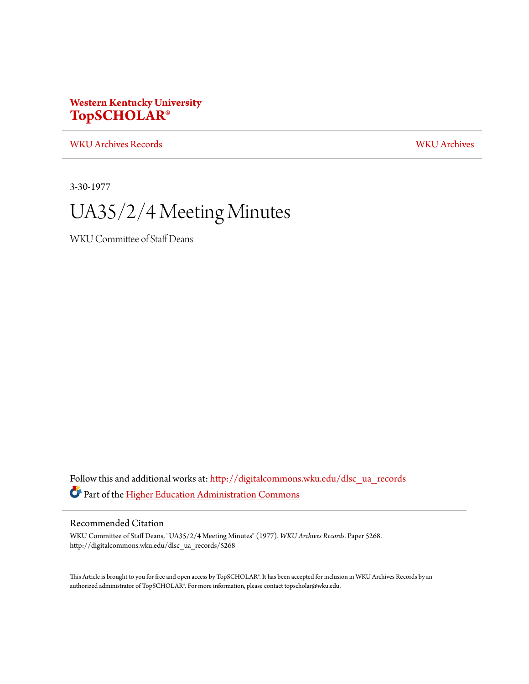## **Western Kentucky University [TopSCHOLAR®](http://digitalcommons.wku.edu?utm_source=digitalcommons.wku.edu%2Fdlsc_ua_records%2F5268&utm_medium=PDF&utm_campaign=PDFCoverPages)**

[WKU Archives Records](http://digitalcommons.wku.edu/dlsc_ua_records?utm_source=digitalcommons.wku.edu%2Fdlsc_ua_records%2F5268&utm_medium=PDF&utm_campaign=PDFCoverPages) [WKU Archives](http://digitalcommons.wku.edu/dlsc_ua?utm_source=digitalcommons.wku.edu%2Fdlsc_ua_records%2F5268&utm_medium=PDF&utm_campaign=PDFCoverPages)

3-30-1977

# UA35/2/4 Meeting Minutes

WKU Committee of Staff Deans

Follow this and additional works at: [http://digitalcommons.wku.edu/dlsc\\_ua\\_records](http://digitalcommons.wku.edu/dlsc_ua_records?utm_source=digitalcommons.wku.edu%2Fdlsc_ua_records%2F5268&utm_medium=PDF&utm_campaign=PDFCoverPages) Part of the [Higher Education Administration Commons](http://network.bepress.com/hgg/discipline/791?utm_source=digitalcommons.wku.edu%2Fdlsc_ua_records%2F5268&utm_medium=PDF&utm_campaign=PDFCoverPages)

### Recommended Citation

WKU Committee of Staff Deans, "UA35/2/4 Meeting Minutes" (1977). *WKU Archives Records.* Paper 5268. http://digitalcommons.wku.edu/dlsc\_ua\_records/5268

This Article is brought to you for free and open access by TopSCHOLAR®. It has been accepted for inclusion in WKU Archives Records by an authorized administrator of TopSCHOLAR®. For more information, please contact topscholar@wku.edu.